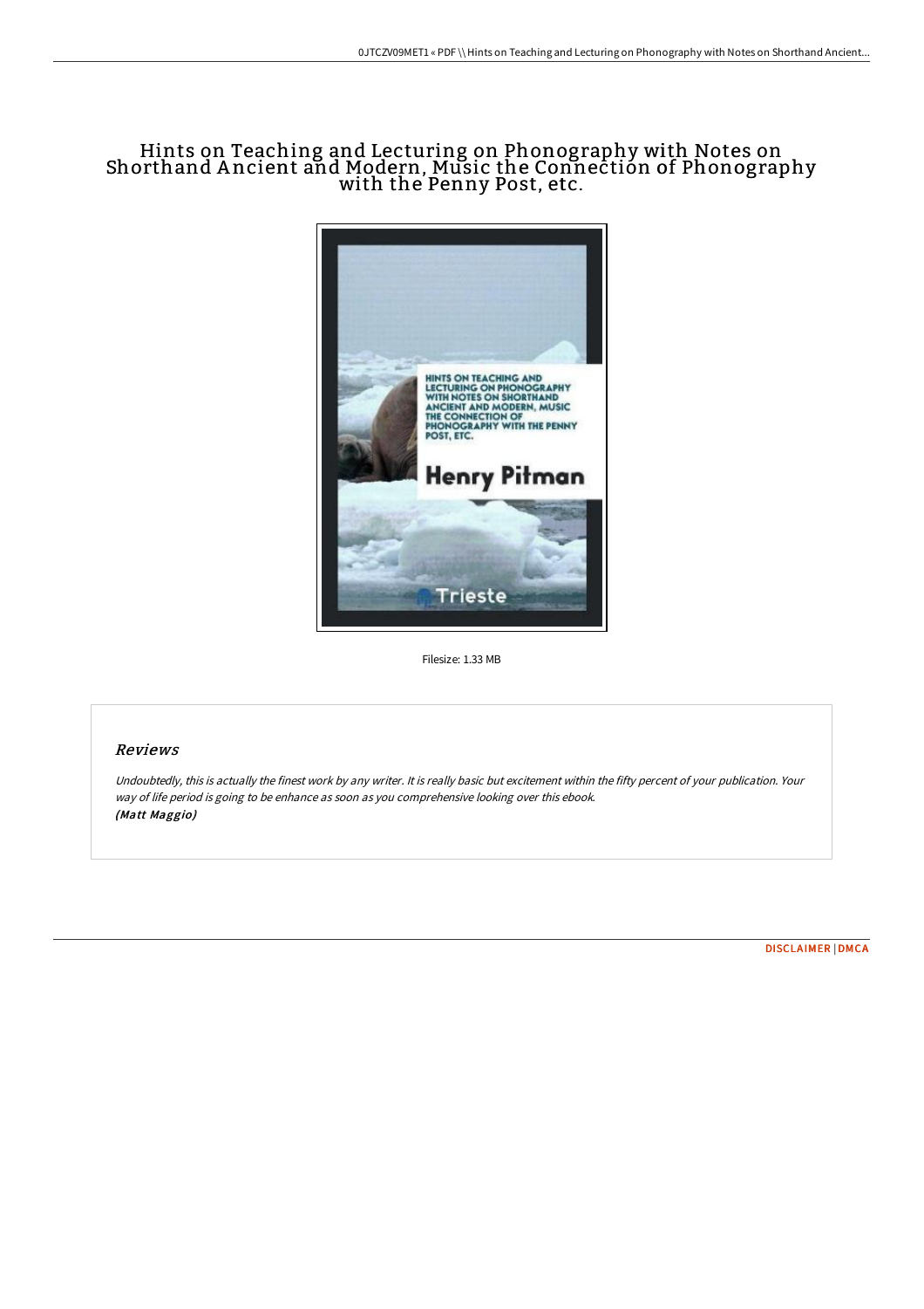# Hints on Teaching and Lecturing on Phonography with Notes on Shorthand A ncient and Modern, Music the Connection of Phonography with the Penny Post, etc.



Filesize: 1.33 MB

## Reviews

Undoubtedly, this is actually the finest work by any writer. It is really basic but excitement within the fifty percent of your publication. Your way of life period is going to be enhance as soon as you comprehensive looking over this ebook. (Matt Maggio)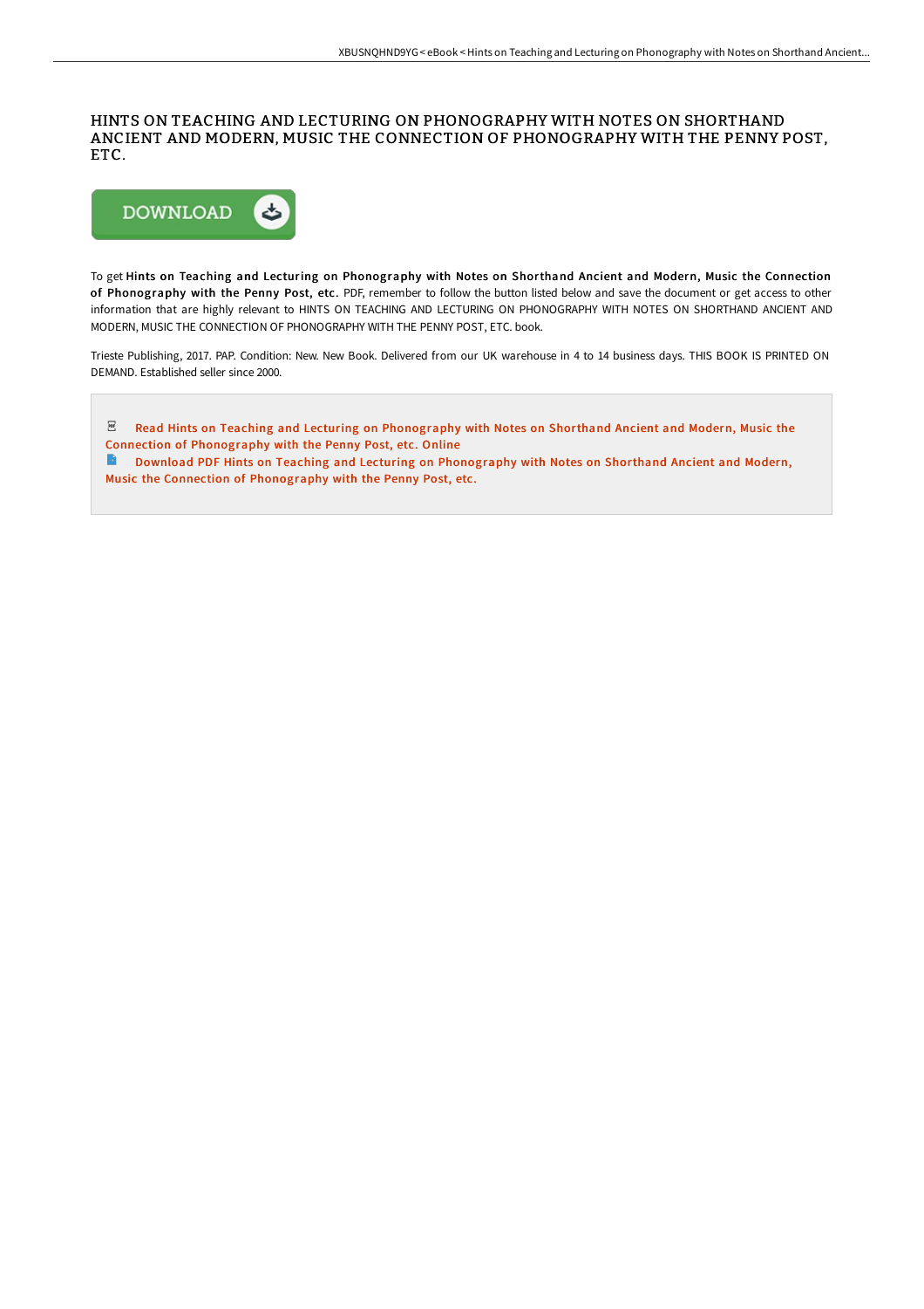#### HINTS ON TEACHING AND LECTURING ON PHONOGRAPHY WITH NOTES ON SHORTHAND ANCIENT AND MODERN, MUSIC THE CONNECTION OF PHONOGRAPHY WITH THE PENNY POST, ETC.



To get Hints on Teaching and Lecturing on Phonography with Notes on Shorthand Ancient and Modern, Music the Connection of Phonography with the Penny Post, etc. PDF, remember to follow the button listed below and save the document or get access to other information that are highly relevant to HINTS ON TEACHING AND LECTURING ON PHONOGRAPHY WITH NOTES ON SHORTHAND ANCIENT AND MODERN, MUSIC THE CONNECTION OF PHONOGRAPHY WITH THE PENNY POST, ETC. book.

Trieste Publishing, 2017. PAP. Condition: New. New Book. Delivered from our UK warehouse in 4 to 14 business days. THIS BOOK IS PRINTED ON DEMAND. Established seller since 2000.

 $PDF$ Read Hints on Teaching and Lecturing on [Phonography](http://www.bookdirs.com/hints-on-teaching-and-lecturing-on-phonography-w.html) with Notes on Shorthand Ancient and Modern, Music the Connection of Phonography with the Penny Post, etc. Online

 $\rightarrow$ Download PDF Hints on Teaching and Lecturing on Phonography with Notes on Shorthand Ancient and Modern, Music the Connection of [Phonography](http://www.bookdirs.com/hints-on-teaching-and-lecturing-on-phonography-w.html) with the Penny Post, etc.